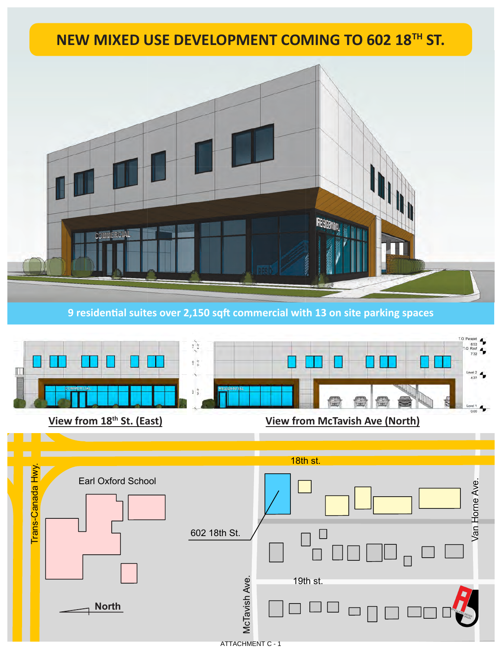## **Use Development at 602 18 NEW MIXED USE DEVELOPMENT COMING TO 602 18th St. TH ST.**



**9 residential suites over 2,150 sqft commercial with 13 on site parking spaces** 



**View from 18<sup>th</sup> St. (East) View from McTavish Ave (North)** 

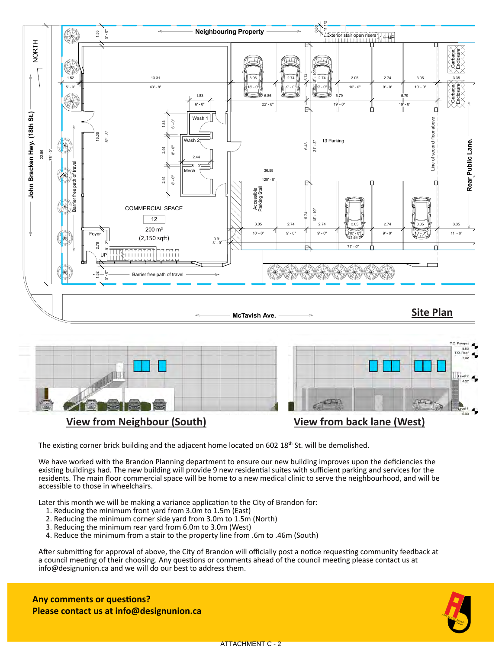

The existing corner brick building and the adjacent home located on 602 18<sup>th</sup> St. will be demolished.

We have worked with the Brandon Planning department to ensure our new building improves upon the deficiencies the existing buildings had. The new building will provide 9 new residential suites with sufficient parking and services for the residents. The main floor commercial space will be home to a new medical clinic to serve the neighbourhood, and will be accessible to those in wheelchairs.

Later this month we will be making a variance application to the City of Brandon for:

- 1. Reducing the minimum front yard from 3.0m to 1.5m (East)
- 2. Reducing the minimum corner side yard from 3.0m to 1.5m (North)
- 3. Reducing the minimum rear yard from 6.0m to 3.0m (West)
- 4. Reduce the minimum from a stair to the property line from .6m to .46m (South)

After submitting for approval of above, the City of Brandon will officially post a notice requesting community feedback at a council meeting of their choosing. Any questions or comments ahead of the council meeting please contact us at info@designunion.ca and we will do our best to address them.

**Any comments or questions? Please contact us at info@designunion.ca**